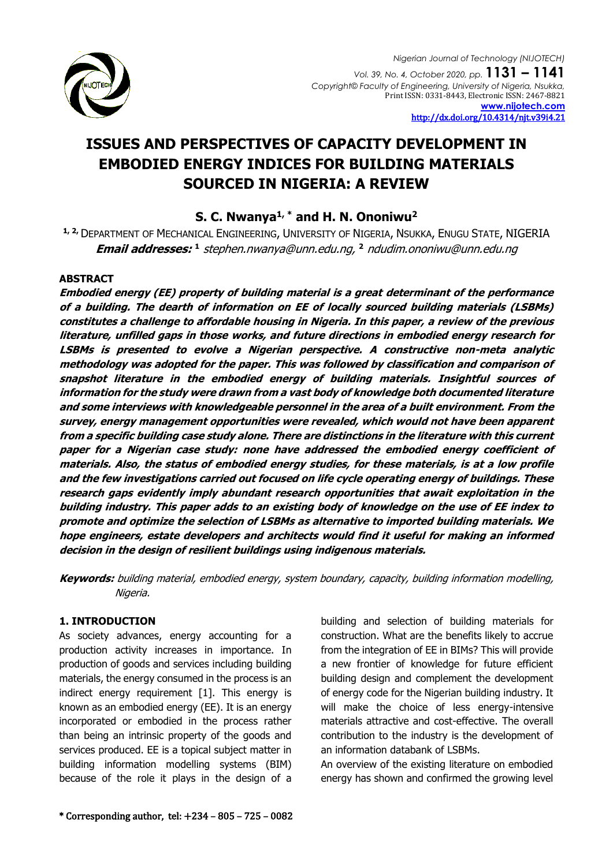

# **ISSUES AND PERSPECTIVES OF CAPACITY DEVELOPMENT IN EMBODIED ENERGY INDICES FOR BUILDING MATERIALS SOURCED IN NIGERIA: A REVIEW**

# **S. C. Nwanya1, \* and H. N. Ononiwu<sup>2</sup>**

**1, 2,** DEPARTMENT OF MECHANICAL ENGINEERING, UNIVERSITY OF NIGERIA, NSUKKA, ENUGU STATE, NIGERIA **Email addresses: 1** [stephen.nwanya@unn.edu.ng,](mailto:stephen.nwanya@unn.edu.ng) **<sup>2</sup>** [ndudim.ononiwu@unn.edu.ng](mailto:ndudim.ononiwu@unn.edu.ng)

#### **ABSTRACT**

**Embodied energy (EE) property of building material is a great determinant of the performance of a building. The dearth of information on EE of locally sourced building materials (LSBMs) constitutes a challenge to affordable housing in Nigeria. In this paper, a review of the previous literature, unfilled gaps in those works, and future directions in embodied energy research for LSBMs is presented to evolve a Nigerian perspective. A constructive non-meta analytic methodology was adopted for the paper. This was followed by classification and comparison of snapshot literature in the embodied energy of building materials. Insightful sources of information for the study were drawn from a vast body of knowledge both documented literature and some interviews with knowledgeable personnel in the area of a built environment. From the survey, energy management opportunities were revealed, which would not have been apparent from a specific building case study alone. There are distinctions in the literature with this current paper for a Nigerian case study: none have addressed the embodied energy coefficient of materials. Also, the status of embodied energy studies, for these materials, is at a low profile and the few investigations carried out focused on life cycle operating energy of buildings. These research gaps evidently imply abundant research opportunities that await exploitation in the building industry. This paper adds to an existing body of knowledge on the use of EE index to promote and optimize the selection of LSBMs as alternative to imported building materials. We hope engineers, estate developers and architects would find it useful for making an informed decision in the design of resilient buildings using indigenous materials.**

**Keywords:** building material, embodied energy, system boundary, capacity, building information modelling, Nigeria.

# **1. INTRODUCTION**

As society advances, energy accounting for a production activity increases in importance. In production of goods and services including building materials, the energy consumed in the process is an indirect energy requirement [1]. This energy is known as an embodied energy (EE). It is an energy incorporated or embodied in the process rather than being an intrinsic property of the goods and services produced. EE is a topical subject matter in building information modelling systems (BIM) because of the role it plays in the design of a building and selection of building materials for construction. What are the benefits likely to accrue from the integration of EE in BIMs? This will provide a new frontier of knowledge for future efficient building design and complement the development of energy code for the Nigerian building industry. It will make the choice of less energy-intensive materials attractive and cost-effective. The overall contribution to the industry is the development of an information databank of LSBMs.

An overview of the existing literature on embodied energy has shown and confirmed the growing level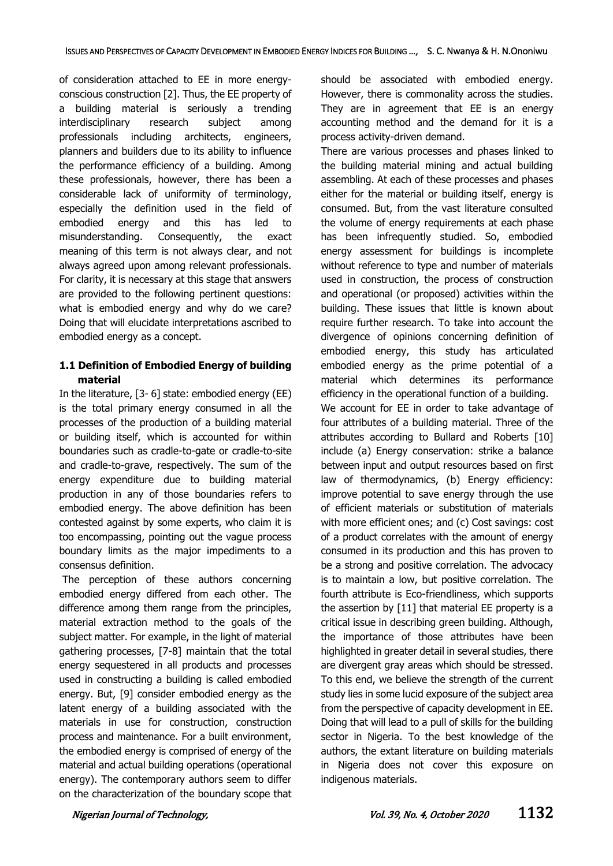of consideration attached to EE in more energyconscious construction [2]. Thus, the EE property of a building material is seriously a trending interdisciplinary research subject among professionals including architects, engineers, planners and builders due to its ability to influence the performance efficiency of a building. Among these professionals, however, there has been a considerable lack of uniformity of terminology, especially the definition used in the field of embodied energy and this has led to misunderstanding. Consequently, the exact meaning of this term is not always clear, and not always agreed upon among relevant professionals. For clarity, it is necessary at this stage that answers are provided to the following pertinent questions: what is embodied energy and why do we care? Doing that will elucidate interpretations ascribed to embodied energy as a concept.

# **1.1 Definition of Embodied Energy of building material**

In the literature, [3- 6] state: embodied energy (EE) is the total primary energy consumed in all the processes of the production of a building material or building itself, which is accounted for within boundaries such as cradle-to-gate or cradle-to-site and cradle-to-grave, respectively. The sum of the energy expenditure due to building material production in any of those boundaries refers to embodied energy. The above definition has been contested against by some experts, who claim it is too encompassing, pointing out the vague process boundary limits as the major impediments to a consensus definition.

The perception of these authors concerning embodied energy differed from each other. The difference among them range from the principles, material extraction method to the goals of the subject matter. For example, in the light of material gathering processes, [7-8] maintain that the total energy sequestered in all products and processes used in constructing a building is called embodied energy. But, [9] consider embodied energy as the latent energy of a building associated with the materials in use for construction, construction process and maintenance. For a built environment, the embodied energy is comprised of energy of the material and actual building operations (operational energy). The contemporary authors seem to differ on the characterization of the boundary scope that should be associated with embodied energy. However, there is commonality across the studies. They are in agreement that EE is an energy accounting method and the demand for it is a process activity-driven demand.

There are various processes and phases linked to the building material mining and actual building assembling. At each of these processes and phases either for the material or building itself, energy is consumed. But, from the vast literature consulted the volume of energy requirements at each phase has been infrequently studied. So, embodied energy assessment for buildings is incomplete without reference to type and number of materials used in construction, the process of construction and operational (or proposed) activities within the building. These issues that little is known about require further research. To take into account the divergence of opinions concerning definition of embodied energy, this study has articulated embodied energy as the prime potential of a material which determines its performance efficiency in the operational function of a building. We account for EE in order to take advantage of four attributes of a building material. Three of the attributes according to Bullard and Roberts [10] include (a) Energy conservation: strike a balance between input and output resources based on first law of thermodynamics, (b) Energy efficiency: improve potential to save energy through the use of efficient materials or substitution of materials with more efficient ones; and (c) Cost savings: cost of a product correlates with the amount of energy consumed in its production and this has proven to be a strong and positive correlation. The advocacy is to maintain a low, but positive correlation. The fourth attribute is Eco-friendliness, which supports the assertion by [11] that material EE property is a critical issue in describing green building. Although, the importance of those attributes have been highlighted in greater detail in several studies, there are divergent gray areas which should be stressed. To this end, we believe the strength of the current study lies in some lucid exposure of the subject area from the perspective of capacity development in EE. Doing that will lead to a pull of skills for the building sector in Nigeria. To the best knowledge of the authors, the extant literature on building materials in Nigeria does not cover this exposure on indigenous materials.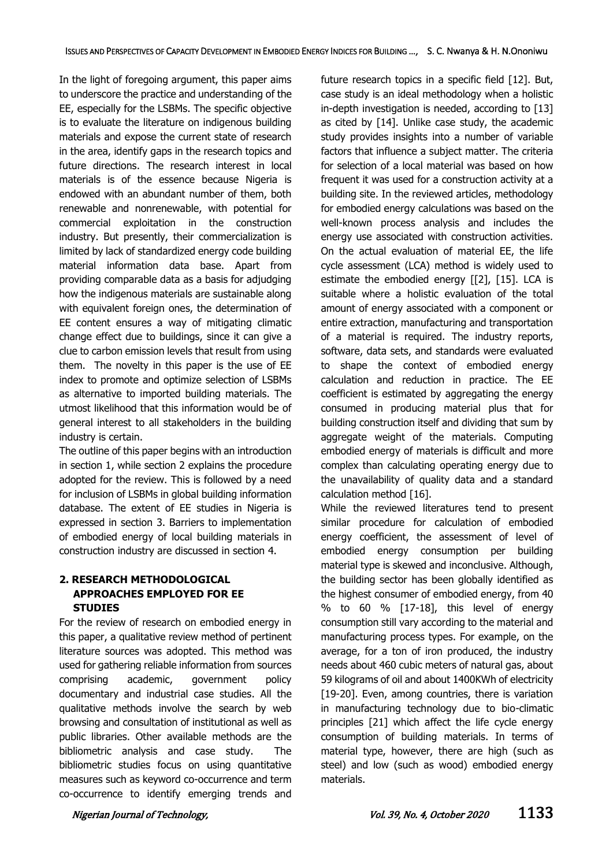In the light of foregoing argument, this paper aims to underscore the practice and understanding of the EE, especially for the LSBMs. The specific objective is to evaluate the literature on indigenous building materials and expose the current state of research in the area, identify gaps in the research topics and future directions. The research interest in local materials is of the essence because Nigeria is endowed with an abundant number of them, both renewable and nonrenewable, with potential for commercial exploitation in the construction industry. But presently, their commercialization is limited by lack of standardized energy code building material information data base. Apart from providing comparable data as a basis for adjudging how the indigenous materials are sustainable along with equivalent foreign ones, the determination of EE content ensures a way of mitigating climatic change effect due to buildings, since it can give a clue to carbon emission levels that result from using them. The novelty in this paper is the use of EE index to promote and optimize selection of LSBMs as alternative to imported building materials. The utmost likelihood that this information would be of general interest to all stakeholders in the building industry is certain.

The outline of this paper begins with an introduction in section 1, while section 2 explains the procedure adopted for the review. This is followed by a need for inclusion of LSBMs in global building information database. The extent of EE studies in Nigeria is expressed in section 3. Barriers to implementation of embodied energy of local building materials in construction industry are discussed in section 4.

# **2. RESEARCH METHODOLOGICAL APPROACHES EMPLOYED FOR EE STUDIES**

For the review of research on embodied energy in this paper, a qualitative review method of pertinent literature sources was adopted. This method was used for gathering reliable information from sources comprising academic, government policy documentary and industrial case studies. All the qualitative methods involve the search by web browsing and consultation of institutional as well as public libraries. Other available methods are the bibliometric analysis and case study. The bibliometric studies focus on using quantitative measures such as keyword co-occurrence and term co-occurrence to identify emerging trends and future research topics in a specific field [12]. But, case study is an ideal methodology when a holistic in-depth investigation is needed, according to [13] as cited by [14]. Unlike case study, the academic study provides insights into a number of variable factors that influence a subject matter. The criteria for selection of a local material was based on how frequent it was used for a construction activity at a building site. In the reviewed articles, methodology for embodied energy calculations was based on the well-known process analysis and includes the energy use associated with construction activities. On the actual evaluation of material EE, the life cycle assessment (LCA) method is widely used to estimate the embodied energy [[2], [15]. LCA is suitable where a holistic evaluation of the total amount of energy associated with a component or entire extraction, manufacturing and transportation of a material is required. The industry reports, software, data sets, and standards were evaluated to shape the context of embodied energy calculation and reduction in practice. The EE coefficient is estimated by aggregating the energy consumed in producing material plus that for building construction itself and dividing that sum by aggregate weight of the materials. Computing embodied energy of materials is difficult and more complex than calculating operating energy due to the unavailability of quality data and a standard calculation method [16].

While the reviewed literatures tend to present similar procedure for calculation of embodied energy coefficient, the assessment of level of embodied energy consumption per building material type is skewed and inconclusive. Although, the building sector has been globally identified as the highest consumer of embodied energy, from 40 % to 60 % [17-18], this level of energy consumption still vary according to the material and manufacturing process types. For example, on the average, for a ton of iron produced, the industry needs about 460 cubic meters of natural gas, about 59 kilograms of oil and about 1400KWh of electricity [19-20]. Even, among countries, there is variation in manufacturing technology due to bio-climatic principles [21] which affect the life cycle energy consumption of building materials. In terms of material type, however, there are high (such as steel) and low (such as wood) embodied energy materials.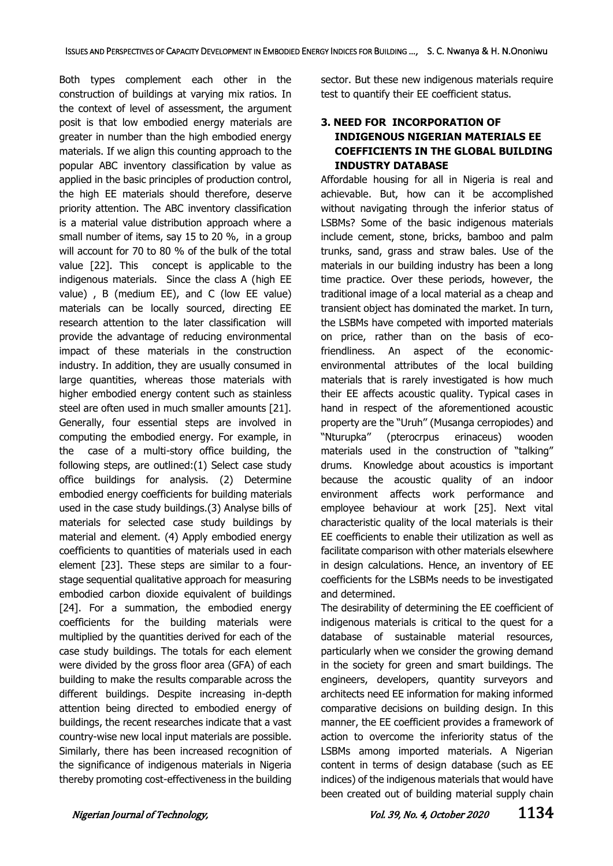Both types complement each other in the construction of buildings at varying mix ratios. In the context of level of assessment, the argument posit is that low embodied energy materials are greater in number than the high embodied energy materials. If we align this counting approach to the popular ABC inventory classification by value as applied in the basic principles of production control, the high EE materials should therefore, deserve priority attention. The ABC inventory classification is a material value distribution approach where a small number of items, say 15 to 20 %, in a group will account for 70 to 80 % of the bulk of the total value [22]. This concept is applicable to the indigenous materials. Since the class A (high EE value) , B (medium EE), and C (low EE value) materials can be locally sourced, directing EE research attention to the later classification will provide the advantage of reducing environmental impact of these materials in the construction industry. In addition, they are usually consumed in large quantities, whereas those materials with higher embodied energy content such as stainless steel are often used in much smaller amounts [21]. Generally, four essential steps are involved in computing the embodied energy. For example, in the case of a multi-story office building, the following steps, are outlined:(1) Select case study office buildings for analysis. (2) Determine embodied energy coefficients for building materials used in the case study buildings.(3) Analyse bills of materials for selected case study buildings by material and element. (4) Apply embodied energy coefficients to quantities of materials used in each element [23]. These steps are similar to a fourstage sequential qualitative approach for measuring embodied carbon dioxide equivalent of buildings [24]. For a summation, the embodied energy coefficients for the building materials were multiplied by the quantities derived for each of the case study buildings. The totals for each element were divided by the gross floor area (GFA) of each building to make the results comparable across the different buildings. Despite increasing in-depth attention being directed to embodied energy of buildings, the recent researches indicate that a vast country-wise new local input materials are possible. Similarly, there has been increased recognition of the significance of indigenous materials in Nigeria thereby promoting cost-effectiveness in the building sector. But these new indigenous materials require test to quantify their EE coefficient status.

# **3. NEED FOR INCORPORATION OF INDIGENOUS NIGERIAN MATERIALS EE COEFFICIENTS IN THE GLOBAL BUILDING INDUSTRY DATABASE**

Affordable housing for all in Nigeria is real and achievable. But, how can it be accomplished without navigating through the inferior status of LSBMs? Some of the basic indigenous materials include cement, stone, bricks, bamboo and palm trunks, sand, grass and straw bales. Use of the materials in our building industry has been a long time practice. Over these periods, however, the traditional image of a local material as a cheap and transient object has dominated the market. In turn, the LSBMs have competed with imported materials on price, rather than on the basis of ecofriendliness. An aspect of the economicenvironmental attributes of the local building materials that is rarely investigated is how much their EE affects acoustic quality. Typical cases in hand in respect of the aforementioned acoustic property are the "Uruh'' (Musanga cerropiodes) and "Nturupka'' (pterocrpus erinaceus) wooden materials used in the construction of "talking" drums. Knowledge about acoustics is important because the acoustic quality of an indoor environment affects work performance and employee behaviour at work [25]. Next vital characteristic quality of the local materials is their EE coefficients to enable their utilization as well as facilitate comparison with other materials elsewhere in design calculations. Hence, an inventory of EE coefficients for the LSBMs needs to be investigated and determined.

The desirability of determining the EE coefficient of indigenous materials is critical to the quest for a database of sustainable material resources, particularly when we consider the growing demand in the society for green and smart buildings. The engineers, developers, quantity surveyors and architects need EE information for making informed comparative decisions on building design. In this manner, the EE coefficient provides a framework of action to overcome the inferiority status of the LSBMs among imported materials. A Nigerian content in terms of design database (such as EE indices) of the indigenous materials that would have been created out of building material supply chain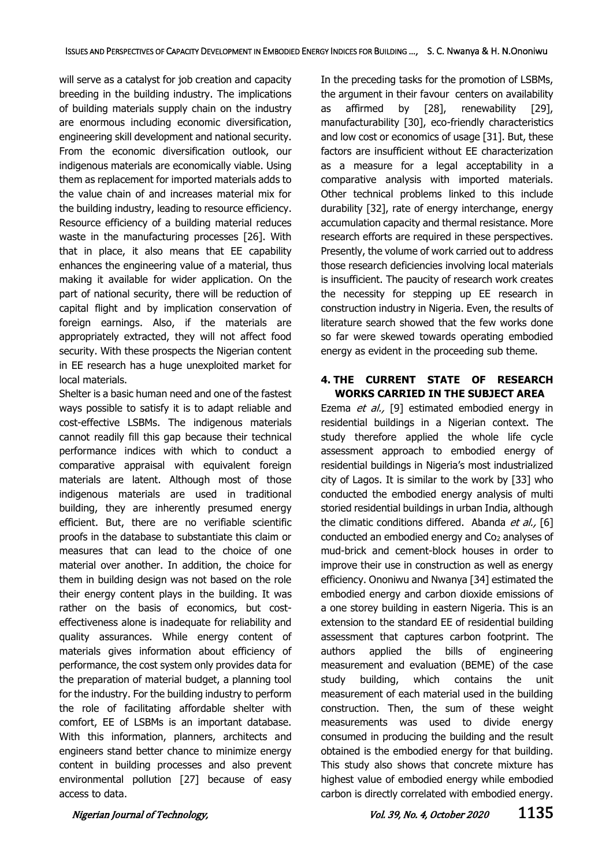will serve as a catalyst for job creation and capacity breeding in the building industry. The implications of building materials supply chain on the industry are enormous including economic diversification, engineering skill development and national security. From the economic diversification outlook, our indigenous materials are economically viable. Using them as replacement for imported materials adds to the value chain of and increases material mix for the building industry, leading to resource efficiency. Resource efficiency of a building material reduces waste in the manufacturing processes [26]. With that in place, it also means that EE capability enhances the engineering value of a material, thus making it available for wider application. On the part of national security, there will be reduction of capital flight and by implication conservation of foreign earnings. Also, if the materials are appropriately extracted, they will not affect food security. With these prospects the Nigerian content in EE research has a huge unexploited market for local materials.

Shelter is a basic human need and one of the fastest ways possible to satisfy it is to adapt reliable and cost-effective LSBMs. The indigenous materials cannot readily fill this gap because their technical performance indices with which to conduct a comparative appraisal with equivalent foreign materials are latent. Although most of those indigenous materials are used in traditional building, they are inherently presumed energy efficient. But, there are no verifiable scientific proofs in the database to substantiate this claim or measures that can lead to the choice of one material over another. In addition, the choice for them in building design was not based on the role their energy content plays in the building. It was rather on the basis of economics, but costeffectiveness alone is inadequate for reliability and quality assurances. While energy content of materials gives information about efficiency of performance, the cost system only provides data for the preparation of material budget, a planning tool for the industry. For the building industry to perform the role of facilitating affordable shelter with comfort, EE of LSBMs is an important database. With this information, planners, architects and engineers stand better chance to minimize energy content in building processes and also prevent environmental pollution [27] because of easy access to data.

In the preceding tasks for the promotion of LSBMs, the argument in their favour centers on availability as affirmed by [28], renewability [29], manufacturability [30], eco-friendly characteristics and low cost or economics of usage [31]. But, these factors are insufficient without EE characterization as a measure for a legal acceptability in a comparative analysis with imported materials. Other technical problems linked to this include durability [32], rate of energy interchange, energy accumulation capacity and thermal resistance. More research efforts are required in these perspectives. Presently, the volume of work carried out to address those research deficiencies involving local materials is insufficient. The paucity of research work creates the necessity for stepping up EE research in construction industry in Nigeria. Even, the results of literature search showed that the few works done so far were skewed towards operating embodied energy as evident in the proceeding sub theme.

#### **4. THE CURRENT STATE OF RESEARCH WORKS CARRIED IN THE SUBJECT AREA**

Ezema et al., [9] estimated embodied energy in residential buildings in a Nigerian context. The study therefore applied the whole life cycle assessment approach to embodied energy of residential buildings in Nigeria's most industrialized city of Lagos. It is similar to the work by [33] who conducted the embodied energy analysis of multi storied residential buildings in urban India, although the climatic conditions differed. Abanda et al., [6] conducted an embodied energy and Co<sup>2</sup> analyses of mud-brick and cement-block houses in order to improve their use in construction as well as energy efficiency. Ononiwu and Nwanya [34] estimated the embodied energy and carbon dioxide emissions of a one storey building in eastern Nigeria. This is an extension to the standard EE of residential building assessment that captures carbon footprint. The authors applied the bills of engineering measurement and evaluation (BEME) of the case study building, which contains the unit measurement of each material used in the building construction. Then, the sum of these weight measurements was used to divide energy consumed in producing the building and the result obtained is the embodied energy for that building. This study also shows that concrete mixture has highest value of embodied energy while embodied carbon is directly correlated with embodied energy.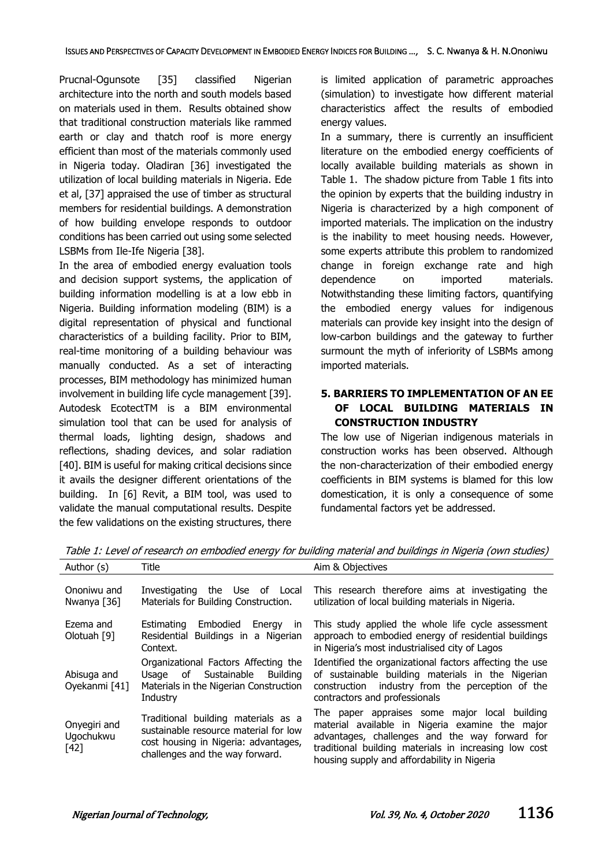Prucnal-Ogunsote [35] classified Nigerian architecture into the north and south models based on materials used in them. Results obtained show that traditional construction materials like rammed earth or clay and thatch roof is more energy efficient than most of the materials commonly used in Nigeria today. Oladiran [36] investigated the utilization of local building materials in Nigeria. Ede et al, [37] appraised the use of timber as structural members for residential buildings. A demonstration of how building envelope responds to outdoor conditions has been carried out using some selected LSBMs from Ile-Ife Nigeria [38].

In the area of embodied energy evaluation tools and decision support systems, the application of building information modelling is at a low ebb in Nigeria. Building information modeling (BIM) is a digital representation of physical and functional characteristics of a building facility. Prior to BIM, real-time monitoring of a building behaviour was manually conducted. As a set of interacting processes, BIM methodology has minimized human involvement in building life cycle management [39]. Autodesk EcotectTM is a BIM environmental simulation tool that can be used for analysis of thermal loads, lighting design, shadows and reflections, shading devices, and solar radiation [40]. BIM is useful for making critical decisions since it avails the designer different orientations of the building. In [6] Revit, a BIM tool, was used to validate the manual computational results. Despite the few validations on the existing structures, there

is limited application of parametric approaches (simulation) to investigate how different material characteristics affect the results of embodied energy values.

In a summary, there is currently an insufficient literature on the embodied energy coefficients of locally available building materials as shown in Table 1. The shadow picture from Table 1 fits into the opinion by experts that the building industry in Nigeria is characterized by a high component of imported materials. The implication on the industry is the inability to meet housing needs. However, some experts attribute this problem to randomized change in foreign exchange rate and high dependence on imported materials. Notwithstanding these limiting factors, quantifying the embodied energy values for indigenous materials can provide key insight into the design of low-carbon buildings and the gateway to further surmount the myth of inferiority of LSBMs among imported materials.

### **5. BARRIERS TO IMPLEMENTATION OF AN EE OF LOCAL BUILDING MATERIALS IN CONSTRUCTION INDUSTRY**

The low use of Nigerian indigenous materials in construction works has been observed. Although the non-characterization of their embodied energy coefficients in BIM systems is blamed for this low domestication, it is only a consequence of some fundamental factors yet be addressed.

| Author (s)                        | Title                                                                                                                                                   | Aim & Objectives                                                                                                                                                                                                                                           |
|-----------------------------------|---------------------------------------------------------------------------------------------------------------------------------------------------------|------------------------------------------------------------------------------------------------------------------------------------------------------------------------------------------------------------------------------------------------------------|
| Ononiwu and<br>Nwanya [36]        | Investigating the Use of Local<br>Materials for Building Construction.                                                                                  | This research therefore aims at investigating the<br>utilization of local building materials in Nigeria.                                                                                                                                                   |
| Ezema and<br>Olotuah [9]          | Embodied<br>Energy<br><b>Estimating</b><br>$\mathsf{In}$<br>Residential Buildings in a Nigerian<br>Context.                                             | This study applied the whole life cycle assessment<br>approach to embodied energy of residential buildings<br>in Nigeria's most industrialised city of Lagos                                                                                               |
| Abisuga and<br>Oyekanmi [41]      | Organizational Factors Affecting the<br>Usage of Sustainable<br>Building<br>Materials in the Nigerian Construction<br>Industry                          | Identified the organizational factors affecting the use<br>of sustainable building materials in the Nigerian<br>construction industry from the perception of the<br>contractors and professionals                                                          |
| Onyegiri and<br>Ugochukwu<br>[42] | Traditional building materials as a<br>sustainable resource material for low<br>cost housing in Nigeria: advantages,<br>challenges and the way forward. | The paper appraises some major local building<br>material available in Nigeria examine the major<br>advantages, challenges and the way forward for<br>traditional building materials in increasing low cost<br>housing supply and affordability in Nigeria |

Table 1: Level of research on embodied energy for building material and buildings in Nigeria (own studies)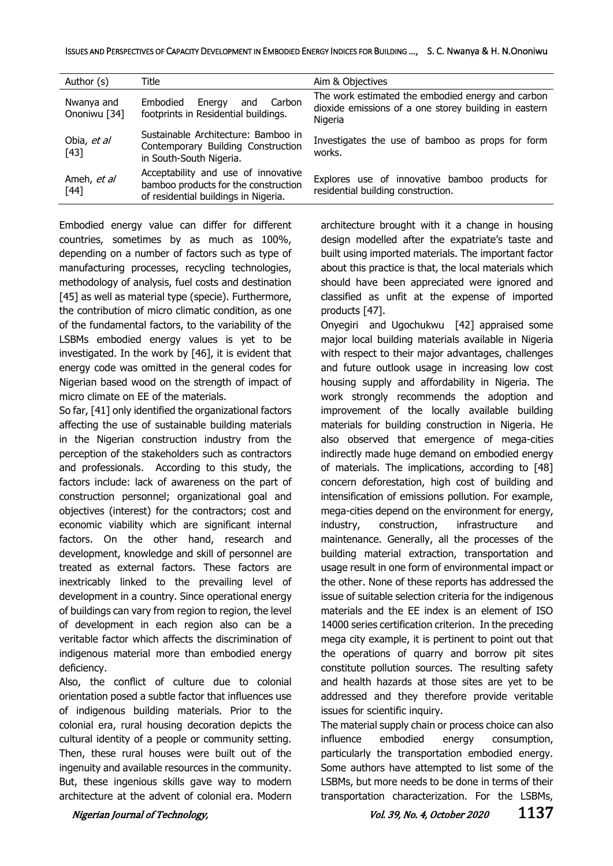| Author (s)                 | Title                                                                                                               | Aim & Objectives                                                                                                      |
|----------------------------|---------------------------------------------------------------------------------------------------------------------|-----------------------------------------------------------------------------------------------------------------------|
| Nwanya and<br>Ononiwu [34] | Carbon<br>Embodied<br>Energy<br>and<br>footprints in Residential buildings.                                         | The work estimated the embodied energy and carbon<br>dioxide emissions of a one storey building in eastern<br>Nigeria |
| Obia, et al<br>$[43]$      | Sustainable Architecture: Bamboo in<br>Contemporary Building Construction<br>in South-South Nigeria.                | Investigates the use of bamboo as props for form<br>works.                                                            |
| Ameh, et al<br>$[44]$      | Acceptability and use of innovative<br>bamboo products for the construction<br>of residential buildings in Nigeria. | Explores use of innovative bamboo products for<br>residential building construction.                                  |

Embodied energy value can differ for different countries, sometimes by as much as 100%, depending on a number of factors such as type of manufacturing processes, recycling technologies, methodology of analysis, fuel costs and destination [45] as well as material type (specie). Furthermore, the contribution of micro climatic condition, as one of the fundamental factors, to the variability of the LSBMs embodied energy values is yet to be investigated. In the work by [46], it is evident that energy code was omitted in the general codes for Nigerian based wood on the strength of impact of micro climate on EE of the materials.

So far, [41] only identified the organizational factors affecting the use of sustainable building materials in the Nigerian construction industry from the perception of the stakeholders such as contractors and professionals. According to this study, the factors include: lack of awareness on the part of construction personnel; organizational goal and objectives (interest) for the contractors; cost and economic viability which are significant internal factors. On the other hand, research and development, knowledge and skill of personnel are treated as external factors. These factors are inextricably linked to the prevailing level of development in a country. Since operational energy of buildings can vary from region to region, the level of development in each region also can be a veritable factor which affects the discrimination of indigenous material more than embodied energy deficiency.

Also, the conflict of culture due to colonial orientation posed a subtle factor that influences use of indigenous building materials. Prior to the colonial era, rural housing decoration depicts the cultural identity of a people or community setting. Then, these rural houses were built out of the ingenuity and available resources in the community. But, these ingenious skills gave way to modern architecture at the advent of colonial era. Modern architecture brought with it a change in housing design modelled after the expatriate's taste and built using imported materials. The important factor about this practice is that, the local materials which should have been appreciated were ignored and classified as unfit at the expense of imported products [47].

Onyegiri and Ugochukwu [42] appraised some major local building materials available in Nigeria with respect to their major advantages, challenges and future outlook usage in increasing low cost housing supply and affordability in Nigeria. The work strongly recommends the adoption and improvement of the locally available building materials for building construction in Nigeria. He also observed that emergence of mega-cities indirectly made huge demand on embodied energy of materials. The implications, according to [48] concern deforestation, high cost of building and intensification of emissions pollution. For example, mega-cities depend on the environment for energy, industry, construction, infrastructure and maintenance. Generally, all the processes of the building material extraction, transportation and usage result in one form of environmental impact or the other. None of these reports has addressed the issue of suitable selection criteria for the indigenous materials and the EE index is an element of ISO 14000 series certification criterion. In the preceding mega city example, it is pertinent to point out that the operations of quarry and borrow pit sites constitute pollution sources. The resulting safety and health hazards at those sites are yet to be addressed and they therefore provide veritable issues for scientific inquiry.

The material supply chain or process choice can also influence embodied energy consumption, particularly the transportation embodied energy. Some authors have attempted to list some of the LSBMs, but more needs to be done in terms of their transportation characterization. For the LSBMs,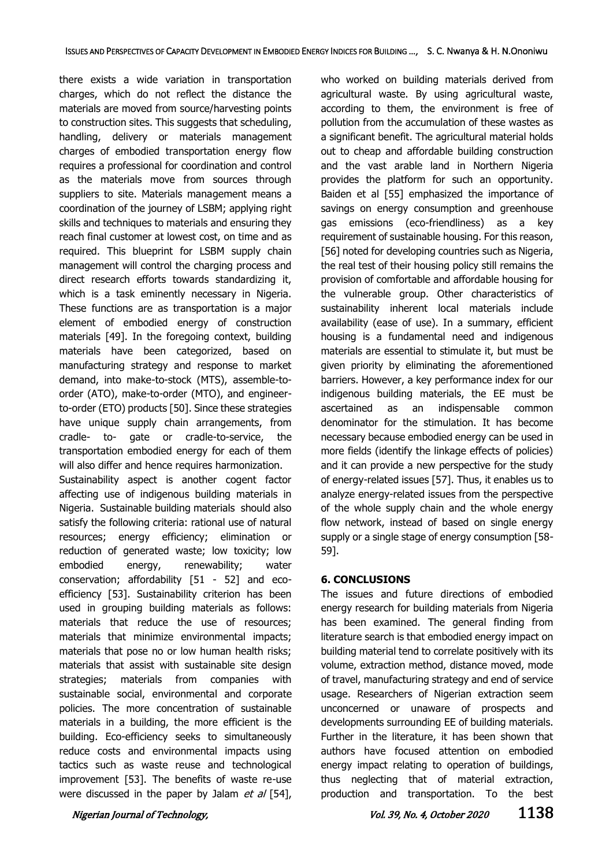there exists a wide variation in transportation charges, which do not reflect the distance the materials are moved from source/harvesting points to construction sites. This suggests that scheduling, handling, delivery or materials management charges of embodied transportation energy flow requires a professional for coordination and control as the materials move from sources through suppliers to site. Materials management means a coordination of the journey of LSBM; applying right skills and techniques to materials and ensuring they reach final customer at lowest cost, on time and as required. This blueprint for LSBM supply chain management will control the charging process and direct research efforts towards standardizing it, which is a task eminently necessary in Nigeria. These functions are as transportation is a major element of embodied energy of construction materials [49]. In the foregoing context, building materials have been categorized, based on manufacturing strategy and response to market demand, into make-to-stock (MTS), assemble-toorder (ATO), make-to-order (MTO), and engineerto-order (ETO) products [50]. Since these strategies have unique supply chain arrangements, from cradle- to- gate or cradle-to-service, the transportation embodied energy for each of them will also differ and hence requires harmonization. Sustainability aspect is another cogent factor affecting use of indigenous building materials in Nigeria. Sustainable building materials should also satisfy the following criteria: rational use of natural resources; energy efficiency; elimination or reduction of generated waste; low toxicity; low embodied energy, renewability; water conservation; affordability [51 - 52] and ecoefficiency [53]. Sustainability criterion has been used in grouping building materials as follows: materials that reduce the use of resources; materials that minimize environmental impacts; materials that pose no or low human health risks; materials that assist with sustainable site design strategies; materials from companies with sustainable social, environmental and corporate policies. The more concentration of sustainable materials in a building, the more efficient is the building. Eco-efficiency seeks to simultaneously reduce costs and environmental impacts using tactics such as waste reuse and technological improvement [53]. The benefits of waste re-use were discussed in the paper by Jalam  $et$  al [54],

who worked on building materials derived from agricultural waste. By using agricultural waste, according to them, the environment is free of pollution from the accumulation of these wastes as a significant benefit. The agricultural material holds out to cheap and affordable building construction and the vast arable land in Northern Nigeria provides the platform for such an opportunity. Baiden et al [55] emphasized the importance of savings on energy consumption and greenhouse gas emissions (eco-friendliness) as a key requirement of sustainable housing. For this reason, [56] noted for developing countries such as Nigeria, the real test of their housing policy still remains the provision of comfortable and affordable housing for the vulnerable group. Other characteristics of sustainability inherent local materials include availability (ease of use). In a summary, efficient housing is a fundamental need and indigenous materials are essential to stimulate it, but must be given priority by eliminating the aforementioned barriers. However, a key performance index for our indigenous building materials, the EE must be ascertained as an indispensable common denominator for the stimulation. It has become necessary because embodied energy can be used in more fields (identify the linkage effects of policies) and it can provide a new perspective for the study of energy-related issues [57]. Thus, it enables us to analyze energy-related issues from the perspective of the whole supply chain and the whole energy flow network, instead of based on single energy supply or a single stage of energy consumption [58- 59].

#### **6. CONCLUSIONS**

The issues and future directions of embodied energy research for building materials from Nigeria has been examined. The general finding from literature search is that embodied energy impact on building material tend to correlate positively with its volume, extraction method, distance moved, mode of travel, manufacturing strategy and end of service usage. Researchers of Nigerian extraction seem unconcerned or unaware of prospects and developments surrounding EE of building materials. Further in the literature, it has been shown that authors have focused attention on embodied energy impact relating to operation of buildings, thus neglecting that of material extraction, production and transportation. To the best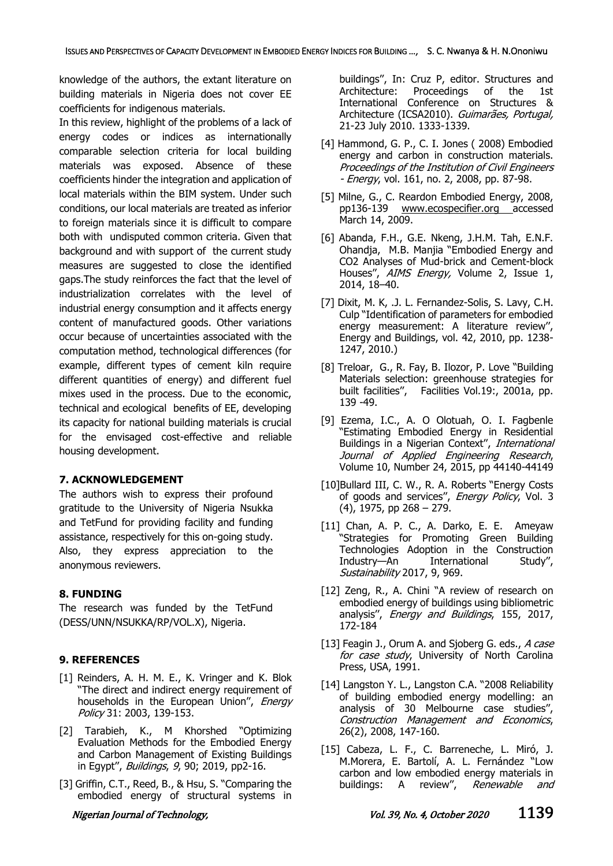knowledge of the authors, the extant literature on building materials in Nigeria does not cover EE coefficients for indigenous materials.

In this review, highlight of the problems of a lack of energy codes or indices as internationally comparable selection criteria for local building materials was exposed. Absence of these coefficients hinder the integration and application of local materials within the BIM system. Under such conditions, our local materials are treated as inferior to foreign materials since it is difficult to compare both with undisputed common criteria. Given that background and with support of the current study measures are suggested to close the identified gaps.The study reinforces the fact that the level of industrialization correlates with the level of industrial energy consumption and it affects energy content of manufactured goods. Other variations occur because of uncertainties associated with the computation method, technological differences (for example, different types of cement kiln require different quantities of energy) and different fuel mixes used in the process. Due to the economic, technical and ecological benefits of EE, developing its capacity for national building materials is crucial for the envisaged cost-effective and reliable housing development.

#### **7. ACKNOWLEDGEMENT**

The authors wish to express their profound gratitude to the University of Nigeria Nsukka and TetFund for providing facility and funding assistance, respectively for this on-going study. Also, they express appreciation to the anonymous reviewers.

#### **8. FUNDING**

The research was funded by the TetFund (DESS/UNN/NSUKKA/RP/VOL.X), Nigeria.

# **9. REFERENCES**

- [1] Reinders, A. H. M. E., K. Vringer and K. Blok "The direct and indirect energy requirement of households in the European Union", Energy Policy 31: 2003, 139-153.
- [2] Tarabieh, K., M Khorshed "Optimizing Evaluation Methods for the Embodied Energy and Carbon Management of Existing Buildings in Egypt", *Buildings*, 9, 90; 2019, pp2-16.
- [3] Griffin, C.T., Reed, B., & Hsu, S. "Comparing the embodied energy of structural systems in

buildings'', In: Cruz P, editor. Structures and Architecture: Proceedings of the 1st International Conference on Structures & Architecture (ICSA2010). Guimarães, Portugal, 21-23 July 2010. 1333-1339.

- [4] Hammond, G. P., C. I. Jones (2008) Embodied energy and carbon in construction materials. Proceedings of the Institution of Civil Engineers - *Energy*, vol. 161, no. 2, 2008, pp. 87-98.
- [5] Milne, G., C. Reardon Embodied Energy, 2008, pp136-139 [www.ecospecifier.org](http://www.ecospecifier.org/) accessed March 14, 2009.
- [6] Abanda, F.H., G.E. Nkeng, J.H.M. Tah, E.N.F. Ohandja, M.B. Manjia "Embodied Energy and CO2 Analyses of Mud-brick and Cement-block Houses", AIMS Energy, Volume 2, Issue 1, 2014, 18–40.
- [7] Dixit, M. K, .J. L. Fernandez-Solis, S. Lavy, C.H. Culp "Identification of parameters for embodied energy measurement: A literature review'', Energy and Buildings, vol. 42, 2010, pp. 1238- 1247, 2010.)
- [8] Treloar, G., R. Fay, B. Ilozor, P. Love "Building Materials selection: greenhouse strategies for built facilities'', Facilities Vol.19:, 2001a, pp. 139 -49.
- [9] Ezema, I.C., A. O Olotuah, O. I. Fagbenle "Estimating Embodied Energy in Residential Buildings in a Nigerian Context", International Journal of Applied Engineering Research, Volume 10, Number 24, 2015, pp 44140-44149
- [10]Bullard III, C. W., R. A. Roberts "Energy Costs of goods and services", Energy Policy, Vol. 3 (4), 1975, pp 268 – 279.
- [11] Chan, A. P. C., A. Darko, E. E. Ameyaw "Strategies for Promoting Green Building Technologies Adoption in the Construction Industry—An International Study'', Sustainability 2017, 9, 969.
- [12] Zeng, R., A. Chini "A review of research on embodied energy of buildings using bibliometric analysis'', Energy and Buildings, 155, 2017, 172-184
- [13] Feagin J., Orum A. and Sjoberg G. eds., A case for case study, University of North Carolina Press, USA, 1991.
- [14] Langston Y. L., Langston C.A. "2008 Reliability of building embodied energy modelling: an analysis of 30 Melbourne case studies'', Construction Management and Economics, 26(2), 2008, 147-160.
- [15] Cabeza, L. F., C. Barreneche, L. Miró, J. M.Morera, E. Bartolí, A. L. Fernández "Low carbon and low embodied energy materials in buildings: A review", Renewable and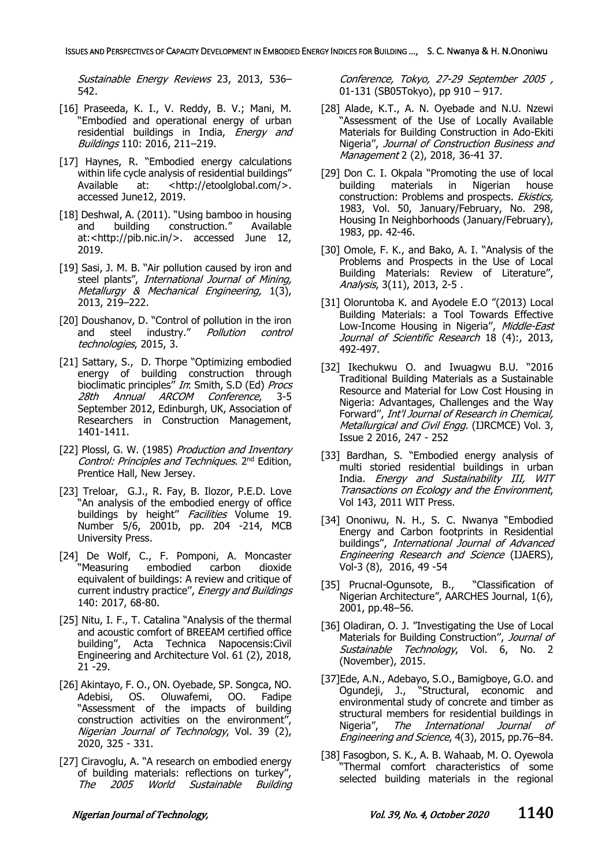Sustainable Energy Reviews 23, 2013, 536– 542.

- [16] Praseeda, K. I., V. Reddy, B. V.; Mani, M. "Embodied and operational energy of urban residential buildings in India, *Energy and* Buildings 110: 2016, 211–219.
- [17] Haynes, R. "Embodied energy calculations within life cycle analysis of residential buildings" Available at: <http://etoolglobal.com/>. accessed June12, 2019.
- [18] Deshwal, A. (2011). "Using bamboo in housing and building construction." Available at:<http://pib.nic.in/>. accessed June 12, 2019.
- [19] Sasi, J. M. B. "Air pollution caused by iron and steel plants", International Journal of Mining, Metallurgy & Mechanical Engineering, 1(3), 2013, 219–222.
- [20] Doushanov, D. "Control of pollution in the iron and steel industry." Pollution control technologies, 2015, 3.
- [21] Sattary, S., D. Thorpe "Optimizing embodied energy of building construction through bioclimatic principles" In: Smith, S.D (Ed) Procs 28th Annual ARCOM Conference, 3-5 September 2012, Edinburgh, UK, Association of Researchers in Construction Management, 1401-1411.
- [22] Plossl, G. W. (1985) Production and Inventory Control: Principles and Techniques. 2<sup>nd</sup> Edition, Prentice Hall, New Jersey.
- [23] Treloar, G.J., R. Fay, B. Ilozor, P.E.D. Love "An analysis of the embodied energy of office buildings by height" Facilities Volume 19. Number 5/6, 2001b, pp. 204 -214, MCB University Press.
- [24] De Wolf, C., F. Pomponi, A. Moncaster "Measuring embodied carbon dioxide equivalent of buildings: A review and critique of current industry practice'', Energy and Buildings 140: 2017, 68-80.
- [25] Nitu, I. F., T. Catalina "Analysis of the thermal and acoustic comfort of BREEAM certified office building'', Acta Technica Napocensis:Civil Engineering and Architecture Vol. 61 (2), 2018, 21 -29.
- [26] Akintayo, F. O., ON. Oyebade, SP. Songca, NO. Adebisi, OS. Oluwafemi, OO. Fadipe "Assessment of the impacts of building construction activities on the environment'', Nigerian Journal of Technology, Vol. 39 (2), 2020, 325 - 331.
- [27] Ciravoglu, A. "A research on embodied energy of building materials: reflections on turkey" The 2005 World Sustainable Building

Conference, Tokyo, 27-29 September 2005 , 01-131 (SB05Tokyo), pp 910 – 917.

- [28] Alade, K.T., A. N. Oyebade and N.U. Nzewi "Assessment of the Use of Locally Available Materials for Building Construction in Ado-Ekiti Nigeria", Journal of Construction Business and Management 2 (2), 2018, 36-41 37.
- [29] Don C. I. Okpala "Promoting the use of local building materials in Nigerian house construction: Problems and prospects. Ekistics, 1983, Vol. 50, January/February, No. 298, Housing In Neighborhoods (January/February), 1983, pp. 42-46.
- [30] Omole, F. K., and Bako, A. I. "Analysis of the Problems and Prospects in the Use of Local Building Materials: Review of Literature'', Analysis, 3(11), 2013, 2-5.
- [31] Oloruntoba K. and Avodele E.O "(2013) Local Building Materials: a Tool Towards Effective Low-Income Housing in Nigeria", Middle-East Journal of Scientific Research 18 (4):, 2013, 492-497.
- [32] Ikechukwu O. and Iwuagwu B.U. "2016 Traditional Building Materials as a Sustainable Resource and Material for Low Cost Housing in Nigeria: Advantages, Challenges and the Way Forward'', Int'l Journal of Research in Chemical, Metallurgical and Civil Engg. (IJRCMCE) Vol. 3, Issue 2 2016, 247 - 252
- [33] Bardhan, S. "Embodied energy analysis of multi storied residential buildings in urban India. Energy and Sustainability III, WIT Transactions on Ecology and the Environment, Vol 143, 2011 WIT Press.
- [34] Ononiwu, N. H., S. C. Nwanya "Embodied Energy and Carbon footprints in Residential buildings'', International Journal of Advanced Engineering Research and Science (IJAERS), Vol-3 (8), 2016, 49 -54
- [35] Prucnal-Ogunsote, B., "Classification of Nigerian Architecture", AARCHES Journal, 1(6), 2001, pp.48–56.
- [36] Oladiran, O. J. "Investigating the Use of Local Materials for Building Construction", Journal of Sustainable Technology, Vol. 6, No. 2 (November), 2015.
- [37]Ede, A.N., Adebayo, S.O., Bamigboye, G.O. and Ogundeji, J., "Structural, economic and environmental study of concrete and timber as structural members for residential buildings in Nigeria", The International Journal of Engineering and Science, 4(3), 2015, pp.76–84.
- [38] Fasogbon, S. K., A. B. Wahaab, M. O. Oyewola "Thermal comfort characteristics of some selected building materials in the regional